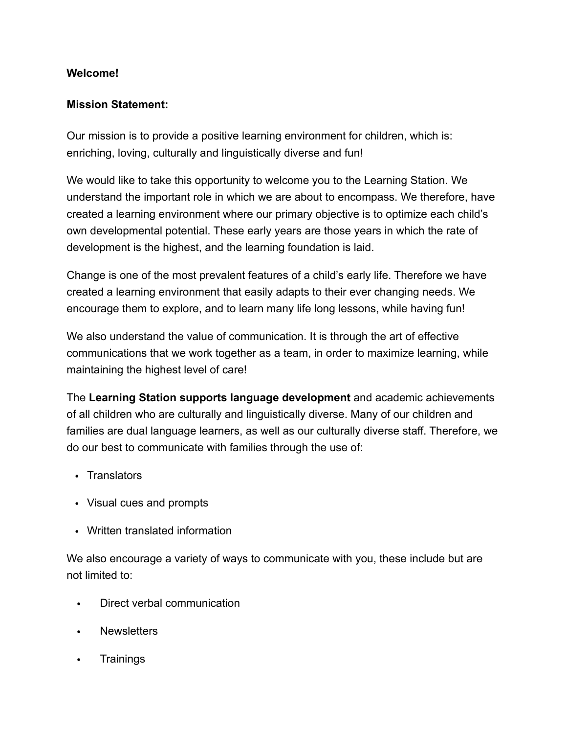## **Welcome!**

## **Mission Statement:**

Our mission is to provide a positive learning environment for children, which is: enriching, loving, culturally and linguistically diverse and fun!

We would like to take this opportunity to welcome you to the Learning Station. We understand the important role in which we are about to encompass. We therefore, have created a learning environment where our primary objective is to optimize each child's own developmental potential. These early years are those years in which the rate of development is the highest, and the learning foundation is laid.

Change is one of the most prevalent features of a child's early life. Therefore we have created a learning environment that easily adapts to their ever changing needs. We encourage them to explore, and to learn many life long lessons, while having fun!

We also understand the value of communication. It is through the art of effective communications that we work together as a team, in order to maximize learning, while maintaining the highest level of care!

The **Learning Station supports language development** and academic achievements of all children who are culturally and linguistically diverse. Many of our children and families are dual language learners, as well as our culturally diverse staff. Therefore, we do our best to communicate with families through the use of:

- Translators
- Visual cues and prompts
- Written translated information

We also encourage a variety of ways to communicate with you, these include but are not limited to:

- Direct verbal communication
- **Newsletters**
- **Trainings**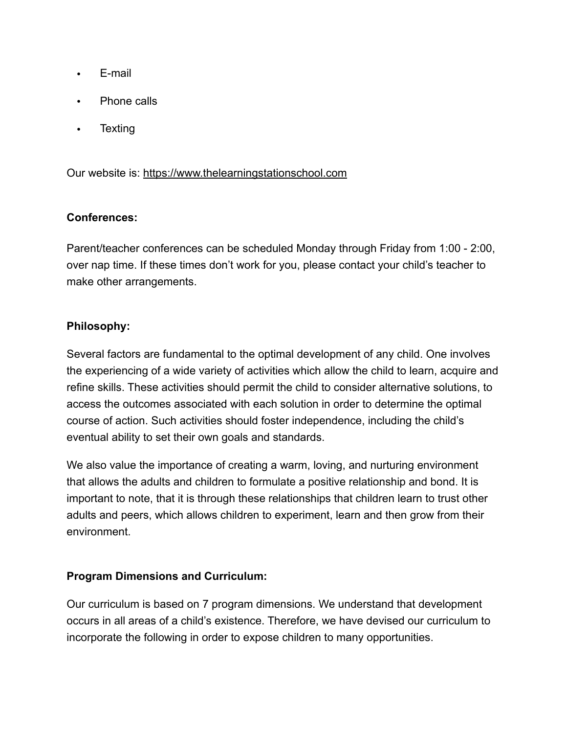- E-mail
- Phone calls
- **Texting**

Our website is: <https://www.thelearningstationschool.com>

### **Conferences:**

Parent/teacher conferences can be scheduled Monday through Friday from 1:00 - 2:00, over nap time. If these times don't work for you, please contact your child's teacher to make other arrangements.

### **Philosophy:**

Several factors are fundamental to the optimal development of any child. One involves the experiencing of a wide variety of activities which allow the child to learn, acquire and refine skills. These activities should permit the child to consider alternative solutions, to access the outcomes associated with each solution in order to determine the optimal course of action. Such activities should foster independence, including the child's eventual ability to set their own goals and standards.

We also value the importance of creating a warm, loving, and nurturing environment that allows the adults and children to formulate a positive relationship and bond. It is important to note, that it is through these relationships that children learn to trust other adults and peers, which allows children to experiment, learn and then grow from their environment.

### **Program Dimensions and Curriculum:**

Our curriculum is based on 7 program dimensions. We understand that development occurs in all areas of a child's existence. Therefore, we have devised our curriculum to incorporate the following in order to expose children to many opportunities.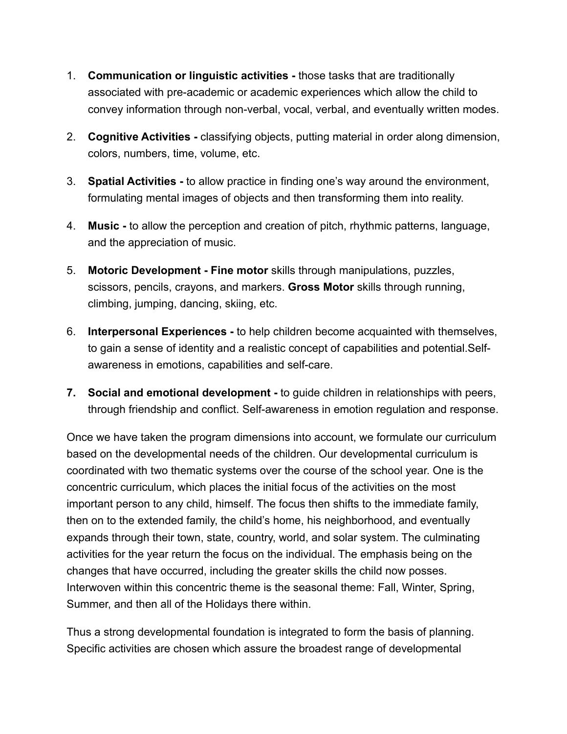- 1. **Communication or linguistic activities** those tasks that are traditionally associated with pre-academic or academic experiences which allow the child to convey information through non-verbal, vocal, verbal, and eventually written modes.
- 2. **Cognitive Activities** classifying objects, putting material in order along dimension, colors, numbers, time, volume, etc.
- 3. **Spatial Activities** to allow practice in finding one's way around the environment, formulating mental images of objects and then transforming them into reality.
- 4. **Music** to allow the perception and creation of pitch, rhythmic patterns, language, and the appreciation of music.
- 5. **Motoric Development Fine motor** skills through manipulations, puzzles, scissors, pencils, crayons, and markers. **Gross Motor** skills through running, climbing, jumping, dancing, skiing, etc.
- 6. **Interpersonal Experiences** to help children become acquainted with themselves, to gain a sense of identity and a realistic concept of capabilities and potential.Selfawareness in emotions, capabilities and self-care.
- **7. Social and emotional development** to guide children in relationships with peers, through friendship and conflict. Self-awareness in emotion regulation and response.

Once we have taken the program dimensions into account, we formulate our curriculum based on the developmental needs of the children. Our developmental curriculum is coordinated with two thematic systems over the course of the school year. One is the concentric curriculum, which places the initial focus of the activities on the most important person to any child, himself. The focus then shifts to the immediate family, then on to the extended family, the child's home, his neighborhood, and eventually expands through their town, state, country, world, and solar system. The culminating activities for the year return the focus on the individual. The emphasis being on the changes that have occurred, including the greater skills the child now posses. Interwoven within this concentric theme is the seasonal theme: Fall, Winter, Spring, Summer, and then all of the Holidays there within.

Thus a strong developmental foundation is integrated to form the basis of planning. Specific activities are chosen which assure the broadest range of developmental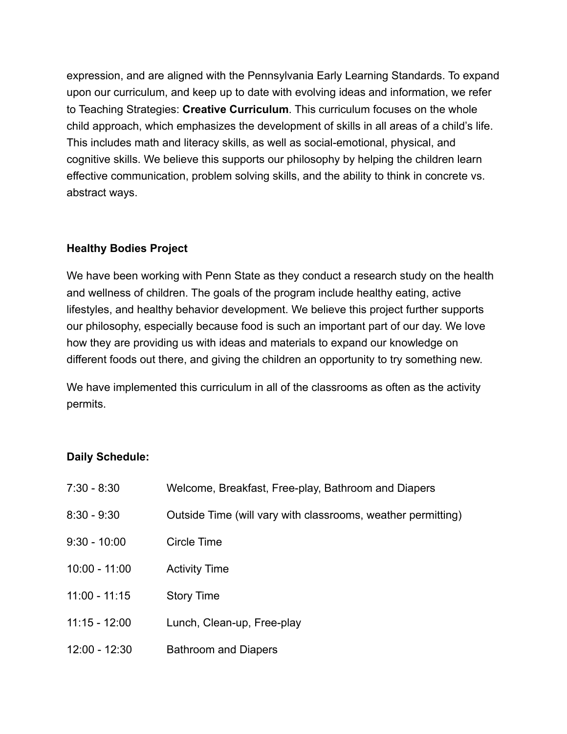expression, and are aligned with the Pennsylvania Early Learning Standards. To expand upon our curriculum, and keep up to date with evolving ideas and information, we refer to Teaching Strategies: **Creative Curriculum**. This curriculum focuses on the whole child approach, which emphasizes the development of skills in all areas of a child's life. This includes math and literacy skills, as well as social-emotional, physical, and cognitive skills. We believe this supports our philosophy by helping the children learn effective communication, problem solving skills, and the ability to think in concrete vs. abstract ways.

## **Healthy Bodies Project**

We have been working with Penn State as they conduct a research study on the health and wellness of children. The goals of the program include healthy eating, active lifestyles, and healthy behavior development. We believe this project further supports our philosophy, especially because food is such an important part of our day. We love how they are providing us with ideas and materials to expand our knowledge on different foods out there, and giving the children an opportunity to try something new.

We have implemented this curriculum in all of the classrooms as often as the activity permits.

## **Daily Schedule:**

| 7:30 - 8:30     | Welcome, Breakfast, Free-play, Bathroom and Diapers          |
|-----------------|--------------------------------------------------------------|
| $8:30 - 9:30$   | Outside Time (will vary with classrooms, weather permitting) |
| $9:30 - 10:00$  | Circle Time                                                  |
| $10:00 - 11:00$ | <b>Activity Time</b>                                         |
| 11:00 - 11:15   | <b>Story Time</b>                                            |
| $11:15 - 12:00$ | Lunch, Clean-up, Free-play                                   |
| 12:00 - 12:30   | <b>Bathroom and Diapers</b>                                  |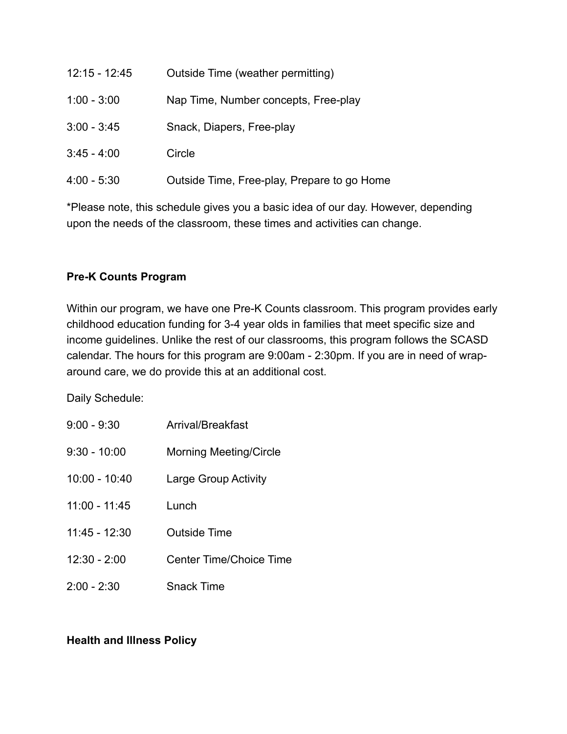| $12:15 - 12:45$ | Outside Time (weather permitting)           |
|-----------------|---------------------------------------------|
| $1:00 - 3:00$   | Nap Time, Number concepts, Free-play        |
| $3:00 - 3:45$   | Snack, Diapers, Free-play                   |
| $3.45 - 4.00$   | Circle                                      |
| $4:00 - 5:30$   | Outside Time, Free-play, Prepare to go Home |

\*Please note, this schedule gives you a basic idea of our day. However, depending upon the needs of the classroom, these times and activities can change.

### **Pre-K Counts Program**

Within our program, we have one Pre-K Counts classroom. This program provides early childhood education funding for 3-4 year olds in families that meet specific size and income guidelines. Unlike the rest of our classrooms, this program follows the SCASD calendar. The hours for this program are 9:00am - 2:30pm. If you are in need of wraparound care, we do provide this at an additional cost.

Daily Schedule:

| $9:00 - 9:30$   | Arrival/Breakfast             |
|-----------------|-------------------------------|
| $9:30 - 10:00$  | <b>Morning Meeting/Circle</b> |
| $10:00 - 10:40$ | Large Group Activity          |
| 11:00 - 11:45   | Lunch                         |
| $11:45 - 12:30$ | <b>Outside Time</b>           |
| $12:30 - 2:00$  | Center Time/Choice Time       |
| 2:00 - 2:30     | <b>Snack Time</b>             |

## **Health and Illness Policy**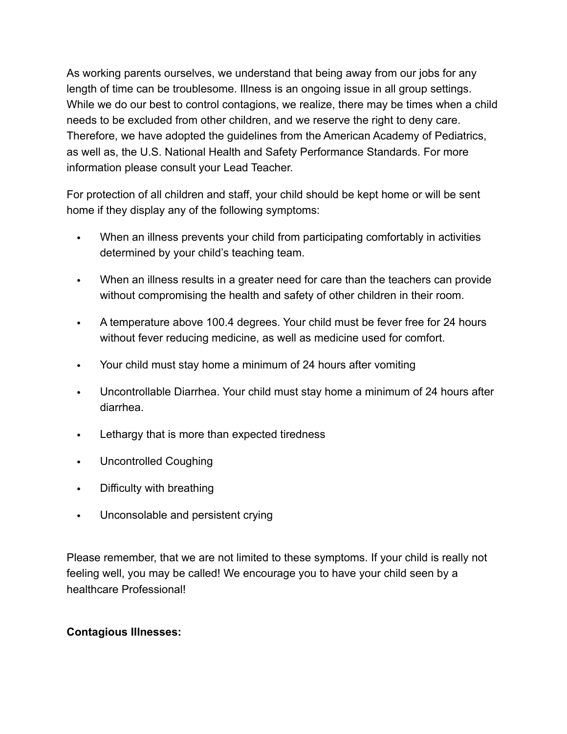As working parents ourselves, we understand that being away from our jobs for any length of time can be troublesome. Illness is an ongoing issue in all group settings. While we do our best to control contagions, we realize, there may be times when a child needs to be excluded from other children, and we reserve the right to deny care. Therefore, we have adopted the guidelines from the American Academy of Pediatrics, as well as, the U.S. National Health and Safety Performance Standards. For more information please consult your Lead Teacher.

For protection of all children and staff, your child should be kept home or will be sent home if they display any of the following symptoms:

- When an illness prevents your child from participating comfortably in activities determined by your child's teaching team.
- When an illness results in a greater need for care than the teachers can provide without compromising the health and safety of other children in their room.
- A temperature above 100.4 degrees. Your child must be fever free for 24 hours without fever reducing medicine, as well as medicine used for comfort.
- Your child must stay home a minimum of 24 hours after vomiting
- Uncontrollable Diarrhea. Your child must stay home a minimum of 24 hours after diarrhea.
- Lethargy that is more than expected tiredness
- Uncontrolled Coughing
- Difficulty with breathing
- Unconsolable and persistent crying

Please remember, that we are not limited to these symptoms. If your child is really not feeling well, you may be called! We encourage you to have your child seen by a healthcare Professional!

### **Contagious Illnesses:**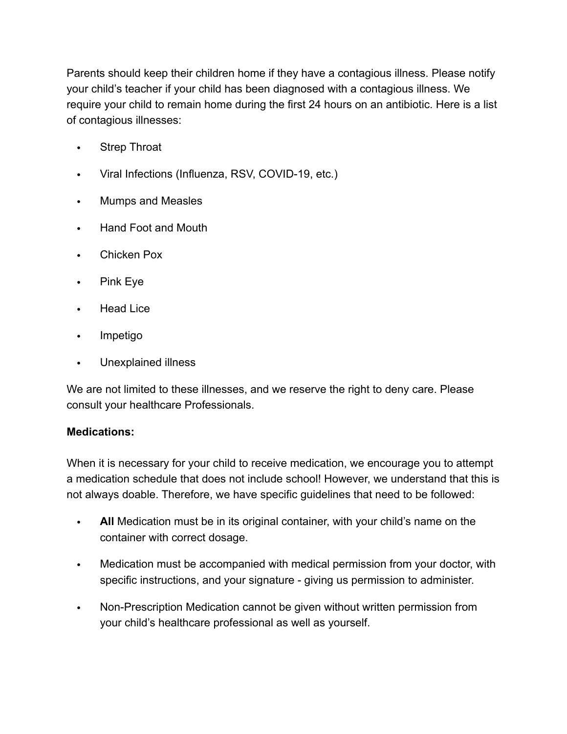Parents should keep their children home if they have a contagious illness. Please notify your child's teacher if your child has been diagnosed with a contagious illness. We require your child to remain home during the first 24 hours on an antibiotic. Here is a list of contagious illnesses:

- **Strep Throat**
- Viral Infections (Influenza, RSV, COVID-19, etc.)
- Mumps and Measles
- Hand Foot and Mouth
- Chicken Pox
- Pink Eye
- Head Lice
- Impetigo
- Unexplained illness

We are not limited to these illnesses, and we reserve the right to deny care. Please consult your healthcare Professionals.

## **Medications:**

When it is necessary for your child to receive medication, we encourage you to attempt a medication schedule that does not include school! However, we understand that this is not always doable. Therefore, we have specific guidelines that need to be followed:

- **All** Medication must be in its original container, with your child's name on the container with correct dosage.
- Medication must be accompanied with medical permission from your doctor, with specific instructions, and your signature - giving us permission to administer.
- Non-Prescription Medication cannot be given without written permission from your child's healthcare professional as well as yourself.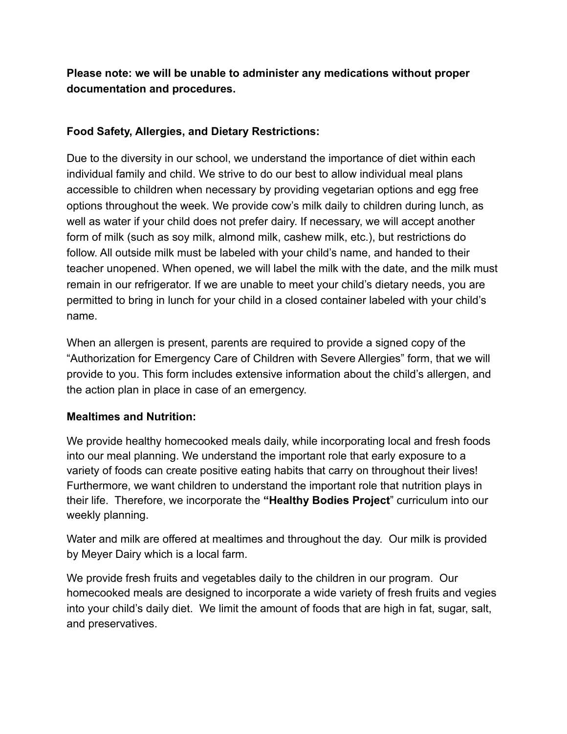**Please note: we will be unable to administer any medications without proper documentation and procedures.** 

## **Food Safety, Allergies, and Dietary Restrictions:**

Due to the diversity in our school, we understand the importance of diet within each individual family and child. We strive to do our best to allow individual meal plans accessible to children when necessary by providing vegetarian options and egg free options throughout the week. We provide cow's milk daily to children during lunch, as well as water if your child does not prefer dairy. If necessary, we will accept another form of milk (such as soy milk, almond milk, cashew milk, etc.), but restrictions do follow. All outside milk must be labeled with your child's name, and handed to their teacher unopened. When opened, we will label the milk with the date, and the milk must remain in our refrigerator. If we are unable to meet your child's dietary needs, you are permitted to bring in lunch for your child in a closed container labeled with your child's name.

When an allergen is present, parents are required to provide a signed copy of the "Authorization for Emergency Care of Children with Severe Allergies" form, that we will provide to you. This form includes extensive information about the child's allergen, and the action plan in place in case of an emergency.

## **Mealtimes and Nutrition:**

We provide healthy homecooked meals daily, while incorporating local and fresh foods into our meal planning. We understand the important role that early exposure to a variety of foods can create positive eating habits that carry on throughout their lives! Furthermore, we want children to understand the important role that nutrition plays in their life. Therefore, we incorporate the **"Healthy Bodies Project**" curriculum into our weekly planning.

Water and milk are offered at mealtimes and throughout the day. Our milk is provided by Meyer Dairy which is a local farm.

We provide fresh fruits and vegetables daily to the children in our program. Our homecooked meals are designed to incorporate a wide variety of fresh fruits and vegies into your child's daily diet. We limit the amount of foods that are high in fat, sugar, salt, and preservatives.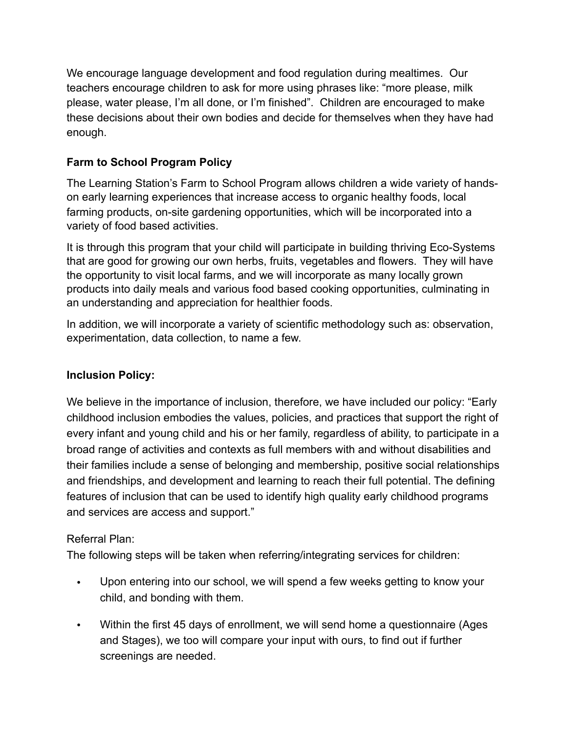We encourage language development and food regulation during mealtimes. Our teachers encourage children to ask for more using phrases like: "more please, milk please, water please, I'm all done, or I'm finished". Children are encouraged to make these decisions about their own bodies and decide for themselves when they have had enough.

# **Farm to School Program Policy**

The Learning Station's Farm to School Program allows children a wide variety of handson early learning experiences that increase access to organic healthy foods, local farming products, on-site gardening opportunities, which will be incorporated into a variety of food based activities.

It is through this program that your child will participate in building thriving Eco-Systems that are good for growing our own herbs, fruits, vegetables and flowers. They will have the opportunity to visit local farms, and we will incorporate as many locally grown products into daily meals and various food based cooking opportunities, culminating in an understanding and appreciation for healthier foods.

In addition, we will incorporate a variety of scientific methodology such as: observation, experimentation, data collection, to name a few.

## **Inclusion Policy:**

We believe in the importance of inclusion, therefore, we have included our policy: "Early childhood inclusion embodies the values, policies, and practices that support the right of every infant and young child and his or her family, regardless of ability, to participate in a broad range of activities and contexts as full members with and without disabilities and their families include a sense of belonging and membership, positive social relationships and friendships, and development and learning to reach their full potential. The defining features of inclusion that can be used to identify high quality early childhood programs and services are access and support."

## Referral Plan:

The following steps will be taken when referring/integrating services for children:

- Upon entering into our school, we will spend a few weeks getting to know your child, and bonding with them.
- Within the first 45 days of enrollment, we will send home a questionnaire (Ages and Stages), we too will compare your input with ours, to find out if further screenings are needed.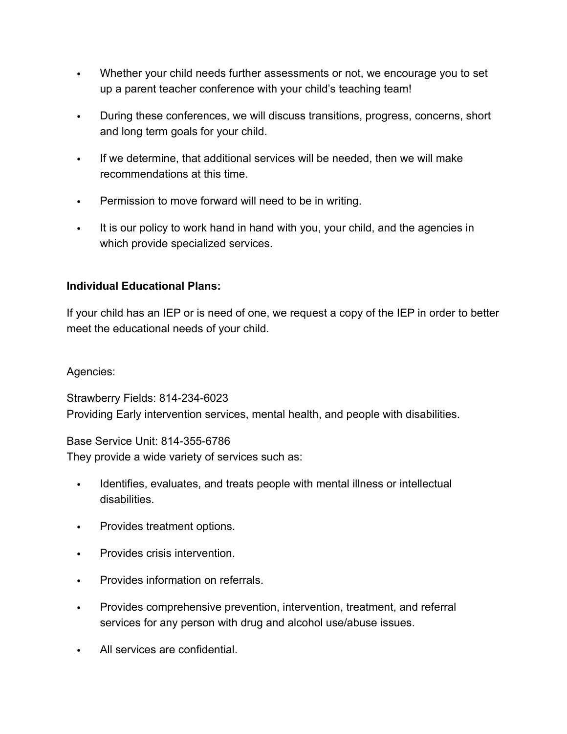- Whether your child needs further assessments or not, we encourage you to set up a parent teacher conference with your child's teaching team!
- During these conferences, we will discuss transitions, progress, concerns, short and long term goals for your child.
- If we determine, that additional services will be needed, then we will make recommendations at this time.
- Permission to move forward will need to be in writing.
- It is our policy to work hand in hand with you, your child, and the agencies in which provide specialized services.

## **Individual Educational Plans:**

If your child has an IEP or is need of one, we request a copy of the IEP in order to better meet the educational needs of your child.

Agencies:

Strawberry Fields: 814-234-6023 Providing Early intervention services, mental health, and people with disabilities.

Base Service Unit: 814-355-6786 They provide a wide variety of services such as:

- Identifies, evaluates, and treats people with mental illness or intellectual disabilities.
- Provides treatment options.
- Provides crisis intervention.
- Provides information on referrals.
- Provides comprehensive prevention, intervention, treatment, and referral services for any person with drug and alcohol use/abuse issues.
- All services are confidential.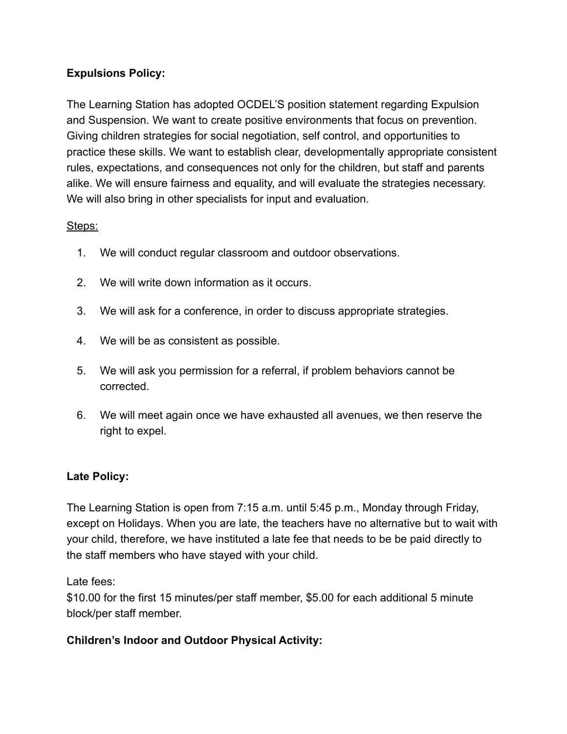## **Expulsions Policy:**

The Learning Station has adopted OCDEL'S position statement regarding Expulsion and Suspension. We want to create positive environments that focus on prevention. Giving children strategies for social negotiation, self control, and opportunities to practice these skills. We want to establish clear, developmentally appropriate consistent rules, expectations, and consequences not only for the children, but staff and parents alike. We will ensure fairness and equality, and will evaluate the strategies necessary. We will also bring in other specialists for input and evaluation.

## Steps:

- 1. We will conduct regular classroom and outdoor observations.
- 2. We will write down information as it occurs.
- 3. We will ask for a conference, in order to discuss appropriate strategies.
- 4. We will be as consistent as possible.
- 5. We will ask you permission for a referral, if problem behaviors cannot be corrected.
- 6. We will meet again once we have exhausted all avenues, we then reserve the right to expel.

## **Late Policy:**

The Learning Station is open from 7:15 a.m. until 5:45 p.m., Monday through Friday, except on Holidays. When you are late, the teachers have no alternative but to wait with your child, therefore, we have instituted a late fee that needs to be be paid directly to the staff members who have stayed with your child.

Late fees:

\$10.00 for the first 15 minutes/per staff member, \$5.00 for each additional 5 minute block/per staff member.

# **Children's Indoor and Outdoor Physical Activity:**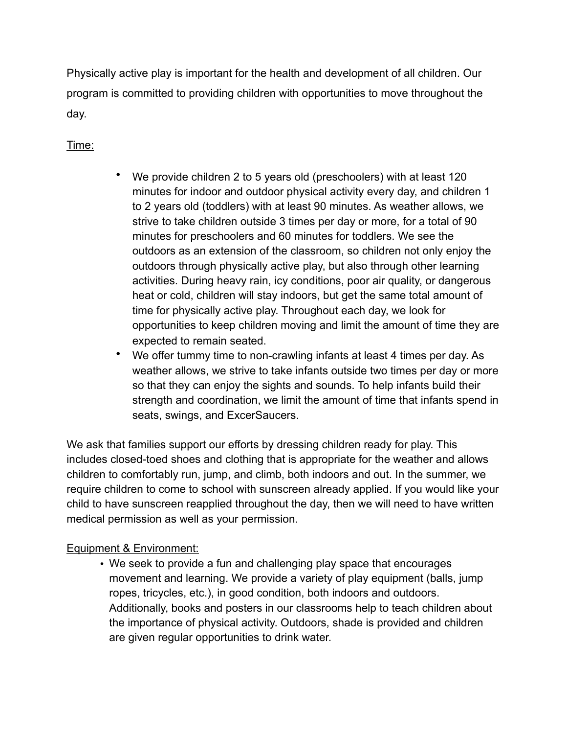Physically active play is important for the health and development of all children. Our program is committed to providing children with opportunities to move throughout the day.

Time:

- We provide children 2 to 5 years old (preschoolers) with at least 120 minutes for indoor and outdoor physical activity every day, and children 1 to 2 years old (toddlers) with at least 90 minutes. As weather allows, we strive to take children outside 3 times per day or more, for a total of 90 minutes for preschoolers and 60 minutes for toddlers. We see the outdoors as an extension of the classroom, so children not only enjoy the outdoors through physically active play, but also through other learning activities. During heavy rain, icy conditions, poor air quality, or dangerous heat or cold, children will stay indoors, but get the same total amount of time for physically active play. Throughout each day, we look for opportunities to keep children moving and limit the amount of time they are expected to remain seated.
- We offer tummy time to non-crawling infants at least 4 times per day. As weather allows, we strive to take infants outside two times per day or more so that they can enjoy the sights and sounds. To help infants build their strength and coordination, we limit the amount of time that infants spend in seats, swings, and ExcerSaucers.

We ask that families support our efforts by dressing children ready for play. This includes closed-toed shoes and clothing that is appropriate for the weather and allows children to comfortably run, jump, and climb, both indoors and out. In the summer, we require children to come to school with sunscreen already applied. If you would like your child to have sunscreen reapplied throughout the day, then we will need to have written medical permission as well as your permission.

## Equipment & Environment:

• We seek to provide a fun and challenging play space that encourages movement and learning. We provide a variety of play equipment (balls, jump ropes, tricycles, etc.), in good condition, both indoors and outdoors. Additionally, books and posters in our classrooms help to teach children about the importance of physical activity. Outdoors, shade is provided and children are given regular opportunities to drink water.